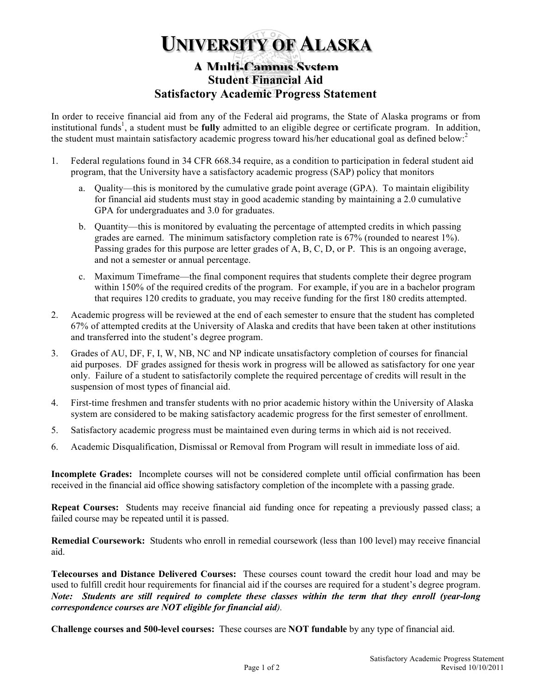## **UNIVERSITY OF ALASKA**

## **A Multi-Campus System Student Financial Aid Satisfactory Academic Progress Statement**

In order to receive financial aid from any of the Federal aid programs, the State of Alaska programs or from institutional funds<sup>1</sup>, a student must be fully admitted to an eligible degree or certificate program. In addition, the student must maintain satisfactory academic progress toward his/her educational goal as defined below:<sup>2</sup>

- 1. Federal regulations found in 34 CFR 668.34 require, as a condition to participation in federal student aid program, that the University have a satisfactory academic progress (SAP) policy that monitors
	- a. Quality—this is monitored by the cumulative grade point average (GPA). To maintain eligibility for financial aid students must stay in good academic standing by maintaining a 2.0 cumulative GPA for undergraduates and 3.0 for graduates.
	- b. Quantity—this is monitored by evaluating the percentage of attempted credits in which passing grades are earned. The minimum satisfactory completion rate is 67% (rounded to nearest 1%). Passing grades for this purpose are letter grades of A, B, C, D, or P. This is an ongoing average, and not a semester or annual percentage.
	- c. Maximum Timeframe—the final component requires that students complete their degree program within 150% of the required credits of the program. For example, if you are in a bachelor program that requires 120 credits to graduate, you may receive funding for the first 180 credits attempted.
- 2. Academic progress will be reviewed at the end of each semester to ensure that the student has completed 67% of attempted credits at the University of Alaska and credits that have been taken at other institutions and transferred into the student's degree program.
- 3. Grades of AU, DF, F, I, W, NB, NC and NP indicate unsatisfactory completion of courses for financial aid purposes. DF grades assigned for thesis work in progress will be allowed as satisfactory for one year only. Failure of a student to satisfactorily complete the required percentage of credits will result in the suspension of most types of financial aid.
- 4. First-time freshmen and transfer students with no prior academic history within the University of Alaska system are considered to be making satisfactory academic progress for the first semester of enrollment.
- 5. Satisfactory academic progress must be maintained even during terms in which aid is not received.
- 6. Academic Disqualification, Dismissal or Removal from Program will result in immediate loss of aid.

**Incomplete Grades:** Incomplete courses will not be considered complete until official confirmation has been received in the financial aid office showing satisfactory completion of the incomplete with a passing grade.

**Repeat Courses:** Students may receive financial aid funding once for repeating a previously passed class; a failed course may be repeated until it is passed.

**Remedial Coursework:** Students who enroll in remedial coursework (less than 100 level) may receive financial aid.

**Telecourses and Distance Delivered Courses:** These courses count toward the credit hour load and may be used to fulfill credit hour requirements for financial aid if the courses are required for a student's degree program. *Note: Students are still required to complete these classes within the term that they enroll (year-long correspondence courses are NOT eligible for financial aid).*

**Challenge courses and 500-level courses:** These courses are **NOT fundable** by any type of financial aid.